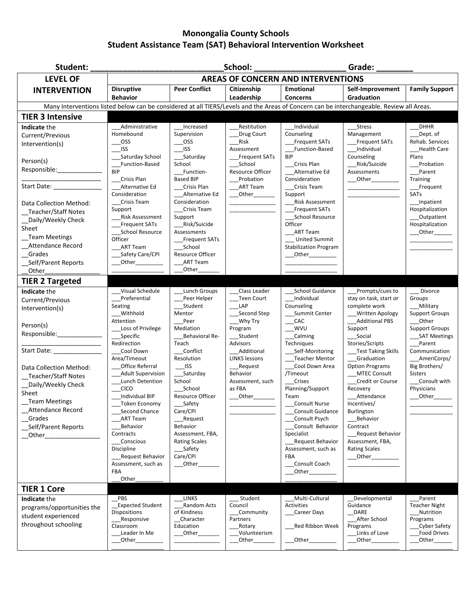## **Monongalia County Schools Student Assistance Team (SAT) Behavioral Intervention Worksheet**

| Student:                                                                                                                                                                                                                                                                                                                        | School:<br>Grade:                                                                                                                                                                                                                                                                                                                                                                                    |                                                                                                                                                                                                                                                                                                                          |                                                                                                                                                                                                 |                                                                                                                                                                                                                                                                                                                                                                                    |                                                                                                                                                                                                                                                                                                                                                                                                     |                                                                                                                                                                                                                                                               |
|---------------------------------------------------------------------------------------------------------------------------------------------------------------------------------------------------------------------------------------------------------------------------------------------------------------------------------|------------------------------------------------------------------------------------------------------------------------------------------------------------------------------------------------------------------------------------------------------------------------------------------------------------------------------------------------------------------------------------------------------|--------------------------------------------------------------------------------------------------------------------------------------------------------------------------------------------------------------------------------------------------------------------------------------------------------------------------|-------------------------------------------------------------------------------------------------------------------------------------------------------------------------------------------------|------------------------------------------------------------------------------------------------------------------------------------------------------------------------------------------------------------------------------------------------------------------------------------------------------------------------------------------------------------------------------------|-----------------------------------------------------------------------------------------------------------------------------------------------------------------------------------------------------------------------------------------------------------------------------------------------------------------------------------------------------------------------------------------------------|---------------------------------------------------------------------------------------------------------------------------------------------------------------------------------------------------------------------------------------------------------------|
| <b>LEVEL OF</b>                                                                                                                                                                                                                                                                                                                 | <b>AREAS OF CONCERN AND INTERVENTIONS</b>                                                                                                                                                                                                                                                                                                                                                            |                                                                                                                                                                                                                                                                                                                          |                                                                                                                                                                                                 |                                                                                                                                                                                                                                                                                                                                                                                    |                                                                                                                                                                                                                                                                                                                                                                                                     |                                                                                                                                                                                                                                                               |
| <b>INTERVENTION</b>                                                                                                                                                                                                                                                                                                             | <b>Disruptive</b><br><b>Behavior</b>                                                                                                                                                                                                                                                                                                                                                                 | <b>Peer Conflict</b>                                                                                                                                                                                                                                                                                                     | Citizenship<br>Leadership                                                                                                                                                                       | <b>Emotional</b><br><b>Concerns</b>                                                                                                                                                                                                                                                                                                                                                | Self-Improvement<br><b>Graduation</b>                                                                                                                                                                                                                                                                                                                                                               | <b>Family Support</b>                                                                                                                                                                                                                                         |
| Many Interventions listed below can be considered at all TIERS/Levels and the Areas of Concern can be interchangeable. Review all Areas.                                                                                                                                                                                        |                                                                                                                                                                                                                                                                                                                                                                                                      |                                                                                                                                                                                                                                                                                                                          |                                                                                                                                                                                                 |                                                                                                                                                                                                                                                                                                                                                                                    |                                                                                                                                                                                                                                                                                                                                                                                                     |                                                                                                                                                                                                                                                               |
| <b>TIER 3 Intensive</b>                                                                                                                                                                                                                                                                                                         |                                                                                                                                                                                                                                                                                                                                                                                                      |                                                                                                                                                                                                                                                                                                                          |                                                                                                                                                                                                 |                                                                                                                                                                                                                                                                                                                                                                                    |                                                                                                                                                                                                                                                                                                                                                                                                     |                                                                                                                                                                                                                                                               |
| Indicate the<br>Current/Previous<br>Intervention(s)<br>Person(s)<br>Responsible:________________<br>Start Date: The Start Date:<br>Data Collection Method:<br>Teacher/Staff Notes                                                                                                                                               | Administrative<br>Homebound<br><b>OSS</b><br><b>ISS</b><br>Saturday School<br>Function-Based<br><b>BIP</b><br>Crisis Plan<br>Alternative Ed<br>Consideration<br>Crisis Team<br>Support                                                                                                                                                                                                               | Increased<br>Supervision<br>OSS<br><b>ISS</b><br>Saturday<br>School<br>Function-<br><b>Based BIP</b><br>Crisis Plan<br>Alternative Ed<br>Consideration<br>Crisis Team                                                                                                                                                    | Restitution<br>Drug Court<br>Risk<br>Assessment<br><b>Frequent SATs</b><br>School<br><b>Resource Officer</b><br>Probation<br><b>ART Team</b><br>Other_________                                  | Individual<br>Counseling<br><b>Frequent SATs</b><br>Function-Based<br><b>BIP</b><br>Crisis Plan<br>Alternative Ed<br>Consideration<br>Crisis Team<br>Support<br>Risk Assessment<br><b>Frequent SATs</b>                                                                                                                                                                            | <b>Stress</b><br>Management<br><b>Frequent SATs</b><br>Individual<br>Counseling<br>Risk/Suicide<br>Assessments<br>Other <b>Communist Communist Communist Communist Communist Communist Communist Communist Communist Communist Communist Communist Communist Communist Communist Communist Communist Communist Communist Communist Communist Commu</b>                                              | <b>DHHR</b><br>Dept. of<br>Rehab. Services<br><b>Health Care</b><br>Plans<br>Probation<br>Parent<br>Training<br>Frequent<br><b>SATs</b><br>_Inpatient<br>Hospitalization                                                                                      |
| Daily/Weekly Check<br>Sheet<br><b>Team Meetings</b><br>_Attendance Record<br>Grades<br>Self/Parent Reports<br>Other<br><b>TIER 2 Targeted</b>                                                                                                                                                                                   | <b>Risk Assessment</b><br><b>Frequent SATs</b><br>School Resource<br>Officer<br>ART Team<br>Safety Care/CPI<br>$\underline{\hspace{1.5mm}\text{Other}}\hspace{1.5mm}\hspace{1.5mm}\text{2.6mm}$                                                                                                                                                                                                      | Support<br>Risk/Suicide<br>Assessments<br><b>Frequent SATs</b><br>School<br><b>Resource Officer</b><br><b>ART Team</b><br>Other                                                                                                                                                                                          |                                                                                                                                                                                                 | <b>School Resource</b><br>Officer<br>ART Team<br><b>United Summit</b><br><b>Stabilization Program</b><br>_Other____________                                                                                                                                                                                                                                                        |                                                                                                                                                                                                                                                                                                                                                                                                     | _Outpatient<br>Hospitalization<br>___Other___                                                                                                                                                                                                                 |
| Indicate the                                                                                                                                                                                                                                                                                                                    | Visual Schedule                                                                                                                                                                                                                                                                                                                                                                                      | Lunch Groups                                                                                                                                                                                                                                                                                                             | Class Leader                                                                                                                                                                                    | School Guidance                                                                                                                                                                                                                                                                                                                                                                    | Prompts/cues to                                                                                                                                                                                                                                                                                                                                                                                     | Divorce                                                                                                                                                                                                                                                       |
| Current/Previous<br>Intervention(s)<br>Person(s)<br>Responsible:______________<br>Start Date: _________________<br>Data Collection Method:<br>Teacher/Staff Notes<br>Daily/Weekly Check<br>Sheet<br><b>Team Meetings</b><br><b>Attendance Record</b><br>Grades<br>Self/Parent Reports<br>$\sqrt{ }$ Other<br><b>TIER 1 Core</b> | Preferential<br>Seating<br>Withhold<br>Attention<br>Loss of Privilege<br>Specific<br>Redirection<br>Cool Down<br>Area/Timeout<br>Office Referral<br><b>Adult Supervision</b><br>Lunch Detention<br>CICO<br>Individual BIP<br>Token Economy<br>Second Chance<br><b>ART Team</b><br>Behavior<br>Contracts<br>Conscious<br>Discipline<br><b>Request Behavior</b><br>Assessment, such as<br>FBA<br>Other | Peer Helper<br>Student<br>Mentor<br>Peer<br>Mediation<br>Behavioral Re-<br>Teach<br>Conflict<br>Resolution<br>$\overline{\phantom{a}}^{1}$<br>Saturday<br>School<br>School<br>Resource Officer<br>Safety<br>Care/CPI<br>_Request<br>Behavior<br>Assessment, FBA,<br><b>Rating Scales</b><br>_Safety<br>Care/CPI<br>Other | <b>Teen Court</b><br>LAP<br>Second Step<br>Why Try<br>Program<br>Student<br>Advisors<br>Additional<br><b>LINKS lessons</b><br>Request<br><b>Behavior</b><br>Assessment, such<br>as FBA<br>Other | Individual<br>Counseling<br>Summit Center<br>CAC<br>WVU<br>Calming<br>Techniques<br>Self-Monitoring<br><b>Teacher Mentor</b><br>Cool Down Area<br>/Timeout<br>Crises<br>Planning/Support<br>Team<br><b>Consult Nurse</b><br>Consult Guidance<br>Consult Psych<br>Consult Behavior<br>Specialist<br>Request Behavior<br>Assessment, such as<br><b>FBA</b><br>Consult Coach<br>Other | stay on task, start or<br>complete work<br><b>Written Apology</b><br><b>Additional PBS</b><br>Support<br>Social<br>Stories/Scripts<br>Test Taking Skills<br>Graduation<br><b>Option Programs</b><br><b>MTEC Consult</b><br>Credit or Course<br>Recovery<br>Attendance<br>Incentives/<br>Burlington<br>Behavior<br>Contract<br>Request Behavior<br>Assessment, FBA,<br><b>Rating Scales</b><br>Other | Groups<br>Military<br><b>Support Groups</b><br>Other<br><b>Support Groups</b><br><b>SAT Meetings</b><br>Parent<br>Communication<br>AmeriCorps/<br>Big Brothers/<br><b>Sisters</b><br>Consult with<br>Physicians<br>$\rule{1em}{0}$ Other $\rule{1em}{0.15mm}$ |
| Indicate the<br>programs/opportunities the<br>student experienced<br>throughout schooling                                                                                                                                                                                                                                       | <b>PBS</b><br><b>Expected Student</b><br><b>Dispositions</b><br>Responsive<br>Classroom<br>Leader In Me<br>_Other_                                                                                                                                                                                                                                                                                   | LINKS<br>Random Acts<br>of Kindness<br>Character<br>Education<br>_Other_                                                                                                                                                                                                                                                 | Student<br>Council<br>Community<br>Partners<br>Rotary<br>Volunteerism<br>_Other_                                                                                                                | Multi-Cultural<br>Activities<br>Career Days<br>Red Ribbon Week<br>$_{\mathsf{Other}}$                                                                                                                                                                                                                                                                                              | Developmental<br>Guidance<br>DARE<br>After School<br>Programs<br>Links of Love<br>_Other_                                                                                                                                                                                                                                                                                                           | Parent<br><b>Teacher Night</b><br>Nutrition<br>Programs<br><b>Cyber Safety</b><br><b>Food Drives</b><br>_Other____                                                                                                                                            |